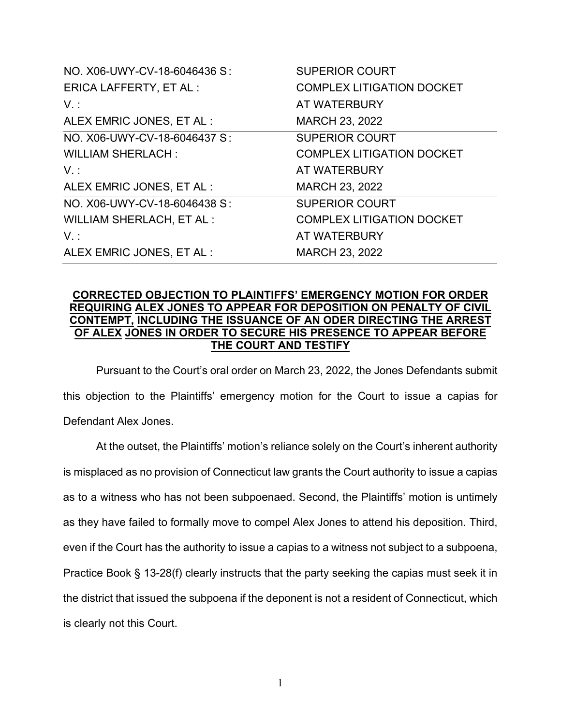| NO. X06-UWY-CV-18-6046436 S:    | <b>SUPERIOR COURT</b>            |
|---------------------------------|----------------------------------|
| <b>ERICA LAFFERTY, ET AL:</b>   | <b>COMPLEX LITIGATION DOCKET</b> |
| $V_{\cdot}$ :                   | AT WATERBURY                     |
| ALEX EMRIC JONES, ET AL :       | MARCH 23, 2022                   |
| NO. X06-UWY-CV-18-6046437 S:    | <b>SUPERIOR COURT</b>            |
| <b>WILLIAM SHERLACH:</b>        | <b>COMPLEX LITIGATION DOCKET</b> |
| $V_{\cdot}$ :                   | AT WATERBURY                     |
| ALEX EMRIC JONES, ET AL :       | <b>MARCH 23, 2022</b>            |
| NO. X06-UWY-CV-18-6046438 S:    | <b>SUPERIOR COURT</b>            |
| <b>WILLIAM SHERLACH, ET AL:</b> | <b>COMPLEX LITIGATION DOCKET</b> |
| $V$ :                           | AT WATERBURY                     |
| ALEX EMRIC JONES, ET AL :       | <b>MARCH 23, 2022</b>            |

# **CORRECTED OBJECTION TO PLAINTIFFS' EMERGENCY MOTION FOR ORDER REQUIRING ALEX JONES TO APPEAR FOR DEPOSITION ON PENALTY OF CIVIL CONTEMPT, INCLUDING THE ISSUANCE OF AN ODER DIRECTING THE ARREST OF ALEX JONES IN ORDER TO SECURE HIS PRESENCE TO APPEAR BEFORE THE COURT AND TESTIFY**

Pursuant to the Court's oral order on March 23, 2022, the Jones Defendants submit this objection to the Plaintiffs' emergency motion for the Court to issue a capias for Defendant Alex Jones.

At the outset, the Plaintiffs' motion's reliance solely on the Court's inherent authority is misplaced as no provision of Connecticut law grants the Court authority to issue a capias as to a witness who has not been subpoenaed. Second, the Plaintiffs' motion is untimely as they have failed to formally move to compel Alex Jones to attend his deposition. Third, even if the Court has the authority to issue a capias to a witness not subject to a subpoena, Practice Book § 13-28(f) clearly instructs that the party seeking the capias must seek it in the district that issued the subpoena if the deponent is not a resident of Connecticut, which is clearly not this Court.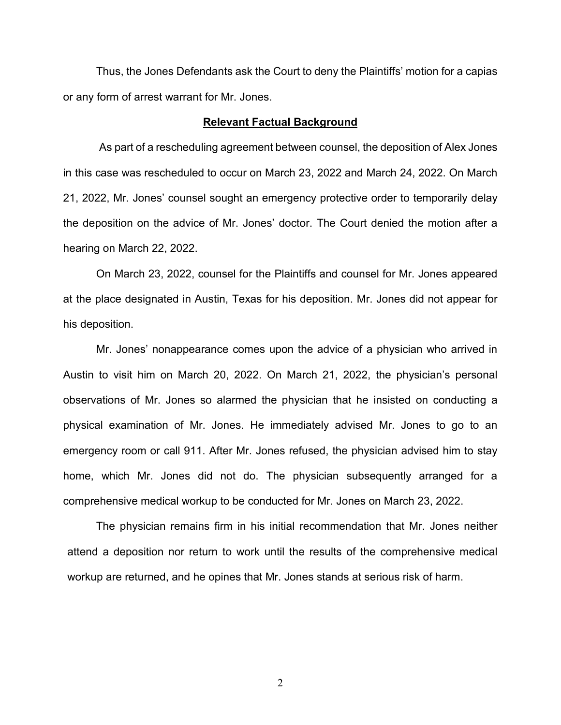Thus, the Jones Defendants ask the Court to deny the Plaintiffs' motion for a capias or any form of arrest warrant for Mr. Jones.

### **Relevant Factual Background**

As part of a rescheduling agreement between counsel, the deposition of Alex Jones in this case was rescheduled to occur on March 23, 2022 and March 24, 2022. On March 21, 2022, Mr. Jones' counsel sought an emergency protective order to temporarily delay the deposition on the advice of Mr. Jones' doctor. The Court denied the motion after a hearing on March 22, 2022.

On March 23, 2022, counsel for the Plaintiffs and counsel for Mr. Jones appeared at the place designated in Austin, Texas for his deposition. Mr. Jones did not appear for his deposition.

Mr. Jones' nonappearance comes upon the advice of a physician who arrived in Austin to visit him on March 20, 2022. On March 21, 2022, the physician's personal observations of Mr. Jones so alarmed the physician that he insisted on conducting a physical examination of Mr. Jones. He immediately advised Mr. Jones to go to an emergency room or call 911. After Mr. Jones refused, the physician advised him to stay home, which Mr. Jones did not do. The physician subsequently arranged for a comprehensive medical workup to be conducted for Mr. Jones on March 23, 2022.

The physician remains firm in his initial recommendation that Mr. Jones neither attend a deposition nor return to work until the results of the comprehensive medical workup are returned, and he opines that Mr. Jones stands at serious risk of harm.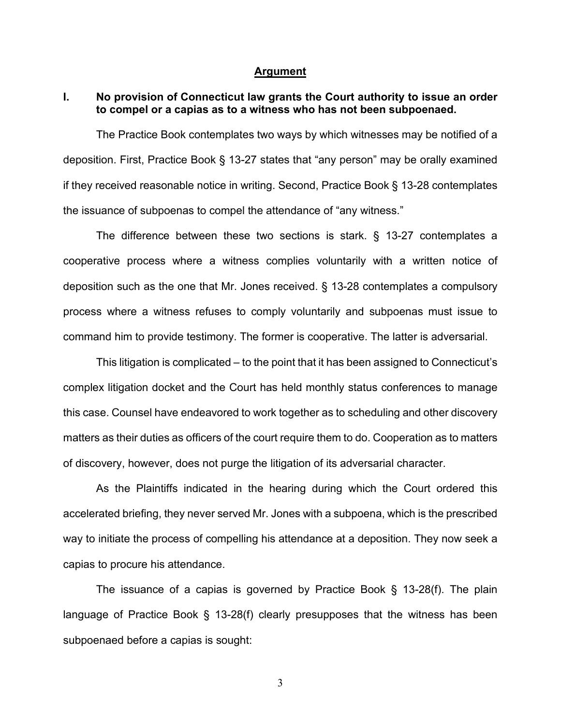### **Argument**

## **I. No provision of Connecticut law grants the Court authority to issue an order to compel or a capias as to a witness who has not been subpoenaed.**

The Practice Book contemplates two ways by which witnesses may be notified of a deposition. First, Practice Book § 13-27 states that "any person" may be orally examined if they received reasonable notice in writing. Second, Practice Book § 13-28 contemplates the issuance of subpoenas to compel the attendance of "any witness."

The difference between these two sections is stark. § 13-27 contemplates a cooperative process where a witness complies voluntarily with a written notice of deposition such as the one that Mr. Jones received. § 13-28 contemplates a compulsory process where a witness refuses to comply voluntarily and subpoenas must issue to command him to provide testimony. The former is cooperative. The latter is adversarial.

This litigation is complicated – to the point that it has been assigned to Connecticut's complex litigation docket and the Court has held monthly status conferences to manage this case. Counsel have endeavored to work together as to scheduling and other discovery matters as their duties as officers of the court require them to do. Cooperation as to matters of discovery, however, does not purge the litigation of its adversarial character.

As the Plaintiffs indicated in the hearing during which the Court ordered this accelerated briefing, they never served Mr. Jones with a subpoena, which is the prescribed way to initiate the process of compelling his attendance at a deposition. They now seek a capias to procure his attendance.

The issuance of a capias is governed by Practice Book § 13-28(f). The plain language of Practice Book § 13-28(f) clearly presupposes that the witness has been subpoenaed before a capias is sought: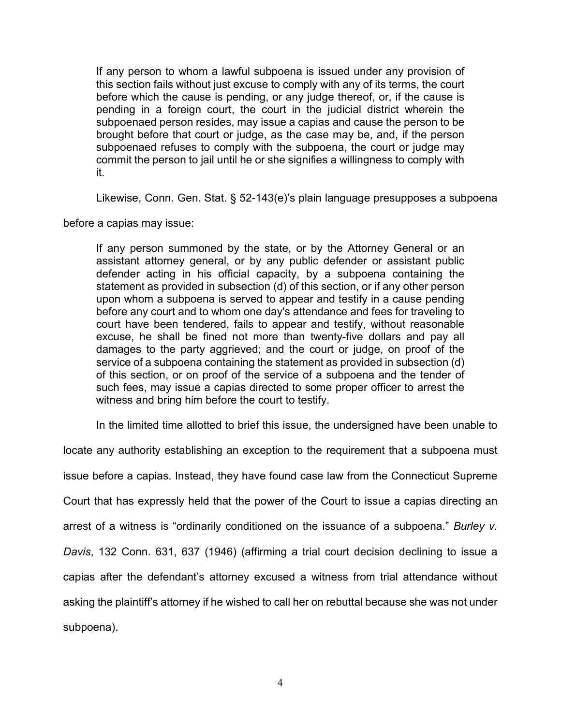If any person to whom a lawful subpoena is issued under any provision of this section fails without just excuse to comply with any of its terms, the court before which the cause is pending, or any judge thereof, or, if the cause is pending in a foreign court, the court in the judicial district wherein the subpoenaed person resides, may issue a capias and cause the person to be brought before that court or judge, as the case may be, and, if the person subpoenaed refuses to comply with the subpoena, the court or judge may commit the person to jail until he or she signifies a willingness to comply with it.

Likewise, Conn. Gen. Stat. § 52-143(e)'s plain language presupposes a subpoena

before a capias may issue:

If any person summoned by the state, or by the Attorney General or an assistant attorney general, or by any public defender or assistant public defender acting in his official capacity, by a subpoena containing the statement as provided in subsection (d) of this section, or if any other person upon whom a subpoena is served to appear and testify in a cause pending before any court and to whom one day's attendance and fees for traveling to court have been tendered, fails to appear and testify, without reasonable excuse, he shall be fined not more than twenty-five dollars and pay all damages to the party aggrieved; and the court or judge, on proof of the service of a subpoena containing the statement as provided in subsection (d) of this section, or on proof of the service of a subpoena and the tender of such fees, may issue a capias directed to some proper officer to arrest the witness and bring him before the court to testify.

In the limited time allotted to brief this issue, the undersigned have been unable to

locate any authority establishing an exception to the requirement that a subpoena must issue before a capias. Instead, they have found case law from the Connecticut Supreme Court that has expressly held that the power of the Court to issue a capias directing an arrest of a witness is "ordinarily conditioned on the issuance of a subpoena." *Burley v. Davis*, 132 Conn. 631, 637 (1946) (affirming a trial court decision declining to issue a capias after the defendant's attorney excused a witness from trial attendance without asking the plaintiff's attorney if he wished to call her on rebuttal because she was not under subpoena).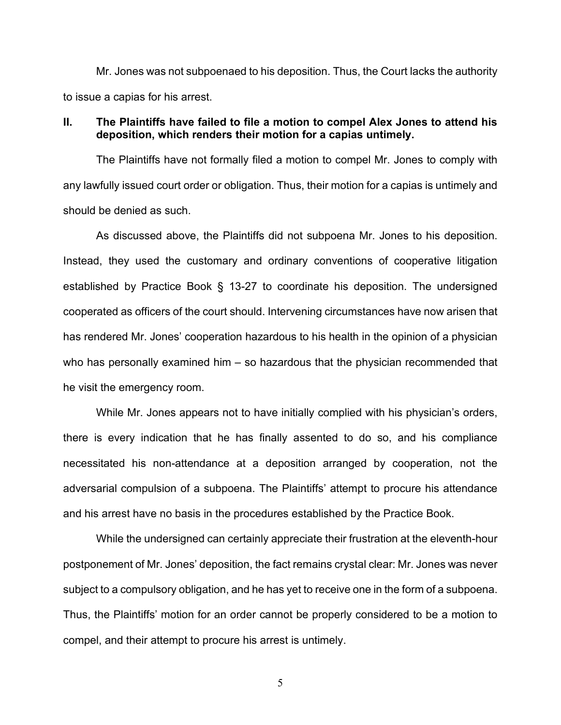Mr. Jones was not subpoenaed to his deposition. Thus, the Court lacks the authority to issue a capias for his arrest.

# **II. The Plaintiffs have failed to file a motion to compel Alex Jones to attend his deposition, which renders their motion for a capias untimely.**

The Plaintiffs have not formally filed a motion to compel Mr. Jones to comply with any lawfully issued court order or obligation. Thus, their motion for a capias is untimely and should be denied as such.

As discussed above, the Plaintiffs did not subpoena Mr. Jones to his deposition. Instead, they used the customary and ordinary conventions of cooperative litigation established by Practice Book § 13-27 to coordinate his deposition. The undersigned cooperated as officers of the court should. Intervening circumstances have now arisen that has rendered Mr. Jones' cooperation hazardous to his health in the opinion of a physician who has personally examined him – so hazardous that the physician recommended that he visit the emergency room.

While Mr. Jones appears not to have initially complied with his physician's orders, there is every indication that he has finally assented to do so, and his compliance necessitated his non-attendance at a deposition arranged by cooperation, not the adversarial compulsion of a subpoena. The Plaintiffs' attempt to procure his attendance and his arrest have no basis in the procedures established by the Practice Book.

While the undersigned can certainly appreciate their frustration at the eleventh-hour postponement of Mr. Jones' deposition, the fact remains crystal clear: Mr. Jones was never subject to a compulsory obligation, and he has yet to receive one in the form of a subpoena. Thus, the Plaintiffs' motion for an order cannot be properly considered to be a motion to compel, and their attempt to procure his arrest is untimely.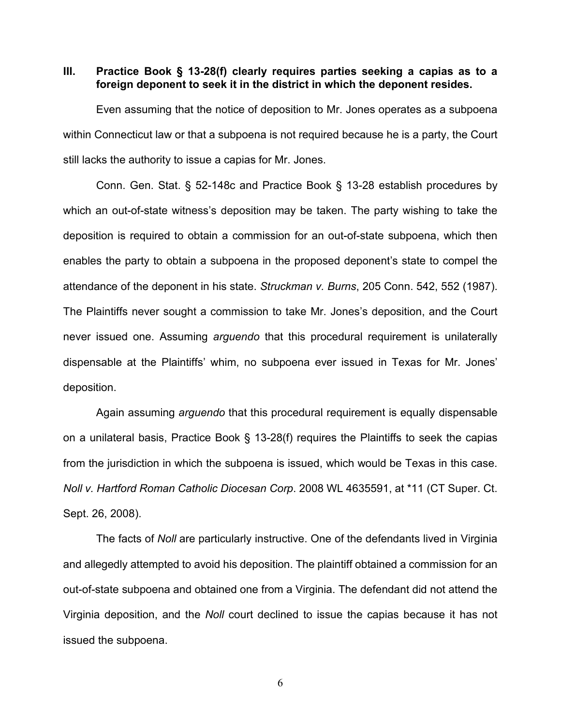### **III. Practice Book § 13-28(f) clearly requires parties seeking a capias as to a foreign deponent to seek it in the district in which the deponent resides.**

Even assuming that the notice of deposition to Mr. Jones operates as a subpoena within Connecticut law or that a subpoena is not required because he is a party, the Court still lacks the authority to issue a capias for Mr. Jones.

Conn. Gen. Stat. § 52-148c and Practice Book § 13-28 establish procedures by which an out-of-state witness's deposition may be taken. The party wishing to take the deposition is required to obtain a commission for an out-of-state subpoena, which then enables the party to obtain a subpoena in the proposed deponent's state to compel the attendance of the deponent in his state. *Struckman v. Burns*, 205 Conn. 542, 552 (1987). The Plaintiffs never sought a commission to take Mr. Jones's deposition, and the Court never issued one. Assuming *arguendo* that this procedural requirement is unilaterally dispensable at the Plaintiffs' whim, no subpoena ever issued in Texas for Mr. Jones' deposition.

Again assuming *arguendo* that this procedural requirement is equally dispensable on a unilateral basis, Practice Book § 13-28(f) requires the Plaintiffs to seek the capias from the jurisdiction in which the subpoena is issued, which would be Texas in this case. *Noll v. Hartford Roman Catholic Diocesan Corp*. 2008 WL 4635591, at \*11 (CT Super. Ct. Sept. 26, 2008).

The facts of *Noll* are particularly instructive. One of the defendants lived in Virginia and allegedly attempted to avoid his deposition. The plaintiff obtained a commission for an out-of-state subpoena and obtained one from a Virginia. The defendant did not attend the Virginia deposition, and the *Noll* court declined to issue the capias because it has not issued the subpoena.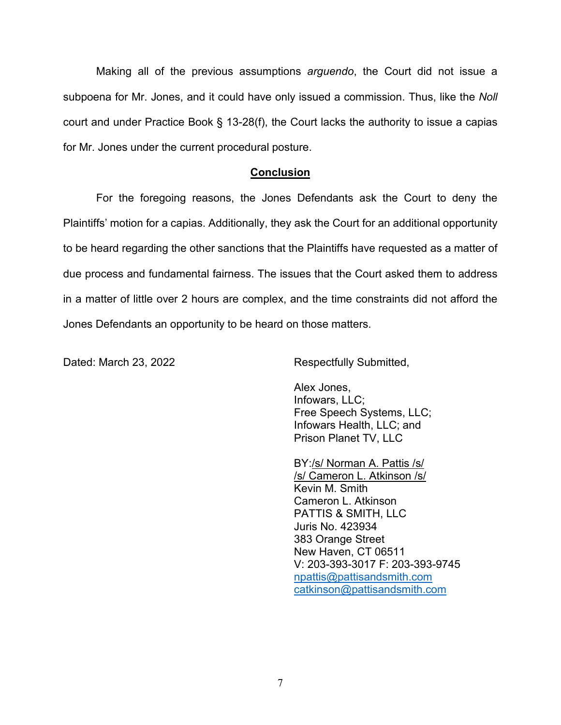Making all of the previous assumptions *arguendo*, the Court did not issue a subpoena for Mr. Jones, and it could have only issued a commission. Thus, like the *Noll* court and under Practice Book § 13-28(f), the Court lacks the authority to issue a capias for Mr. Jones under the current procedural posture.

## **Conclusion**

For the foregoing reasons, the Jones Defendants ask the Court to deny the Plaintiffs' motion for a capias. Additionally, they ask the Court for an additional opportunity to be heard regarding the other sanctions that the Plaintiffs have requested as a matter of due process and fundamental fairness. The issues that the Court asked them to address in a matter of little over 2 hours are complex, and the time constraints did not afford the Jones Defendants an opportunity to be heard on those matters.

Dated: March 23, 2022 **Respectfully Submitted,** 

Alex Jones, Infowars, LLC; Free Speech Systems, LLC; Infowars Health, LLC; and Prison Planet TV, LLC

BY:/s/ Norman A. Pattis /s/ /s/ Cameron L. Atkinson /s/ Kevin M. Smith Cameron L. Atkinson PATTIS & SMITH, LLC Juris No. 423934 383 Orange Street New Haven, CT 06511 V: 203-393-3017 F: 203-393-9745 [npattis@pattisandsmith.com](mailto:npattis@pattisandsmith.com) [catkinson@pattisandsmith.com](mailto:catkinson@pattisandsmith.com)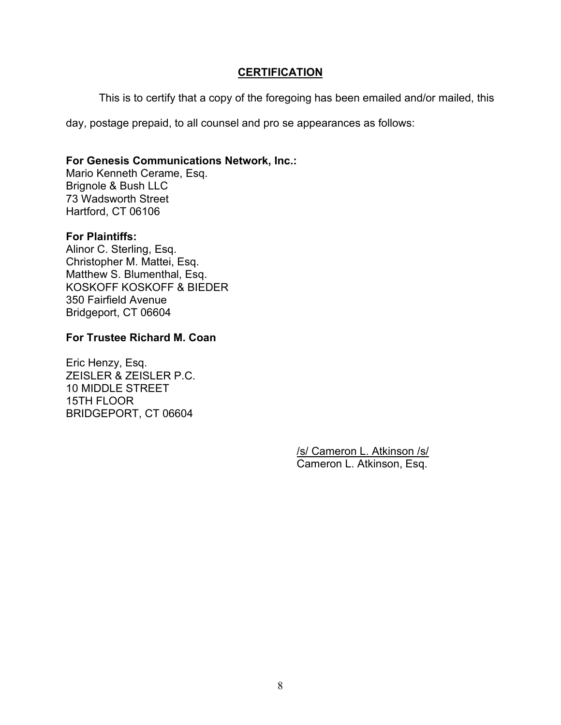# **CERTIFICATION**

This is to certify that a copy of the foregoing has been emailed and/or mailed, this

day, postage prepaid, to all counsel and pro se appearances as follows:

# **For Genesis Communications Network, Inc.:**

Mario Kenneth Cerame, Esq. Brignole & Bush LLC 73 Wadsworth Street Hartford, CT 06106

# **For Plaintiffs:**

Alinor C. Sterling, Esq. Christopher M. Mattei, Esq. Matthew S. Blumenthal, Esq. KOSKOFF KOSKOFF & BIEDER 350 Fairfield Avenue Bridgeport, CT 06604

## **For Trustee Richard M. Coan**

Eric Henzy, Esq. ZEISLER & ZEISLER P.C. 10 MIDDLE STREET 15TH FLOOR BRIDGEPORT, CT 06604

> /s/ Cameron L. Atkinson /s/ Cameron L. Atkinson, Esq.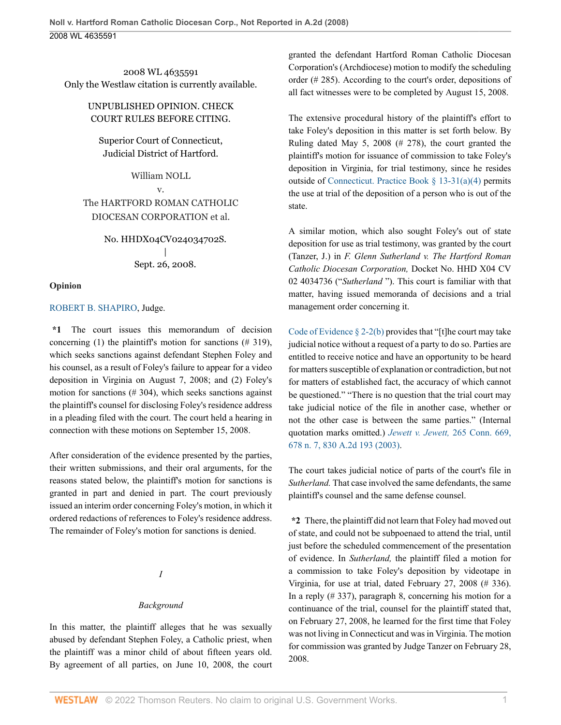2008 WL 4635591 Only the Westlaw citation is currently available.

### UNPUBLISHED OPINION. CHECK COURT RULES BEFORE CITING.

Superior Court of Connecticut, Judicial District of Hartford.

William NOLL v. The HARTFORD ROMAN CATHOLIC DIOCESAN CORPORATION et al.

> No. HHDX04CV024034702S. | Sept. 26, 2008.

#### **Opinion**

### ROBERT B. SHAPIRO, Judge.

**\*1** The court issues this memorandum of decision concerning (1) the plaintiff's motion for sanctions  $(\# 319)$ , which seeks sanctions against defendant Stephen Foley and his counsel, as a result of Foley's failure to appear for a video deposition in Virginia on August 7, 2008; and (2) Foley's motion for sanctions (# 304), which seeks sanctions against the plaintiff's counsel for disclosing Foley's residence address in a pleading filed with the court. The court held a hearing in connection with these motions on September 15, 2008.

After consideration of the evidence presented by the parties, their written submissions, and their oral arguments, for the reasons stated below, the plaintiff's motion for sanctions is granted in part and denied in part. The court previously issued an interim order concerning Foley's motion, in which it ordered redactions of references to Foley's residence address. The remainder of Foley's motion for sanctions is denied.

*I*

### *Background*

In this matter, the plaintiff alleges that he was sexually abused by defendant Stephen Foley, a Catholic priest, when the plaintiff was a minor child of about fifteen years old. By agreement of all parties, on June 10, 2008, the court granted the defendant Hartford Roman Catholic Diocesan Corporation's (Archdiocese) motion to modify the scheduling order (# 285). According to the court's order, depositions of all fact witnesses were to be completed by August 15, 2008.

The extensive procedural history of the plaintiff's effort to take Foley's deposition in this matter is set forth below. By Ruling dated May 5, 2008 (# 278), the court granted the plaintiff's motion for issuance of commission to take Foley's deposition in Virginia, for trial testimony, since he resides outside of Connecticut. Practice Book § 13-31(a)(4) permits the use at trial of the deposition of a person who is out of the state.

A similar motion, which also sought Foley's out of state deposition for use as trial testimony, was granted by the court (Tanzer, J.) in *F. Glenn Sutherland v. The Hartford Roman Catholic Diocesan Corporation,* Docket No. HHD X04 CV 02 4034736 ("*Sutherland* "). This court is familiar with that matter, having issued memoranda of decisions and a trial management order concerning it.

Code of Evidence  $\S 2-2(b)$  provides that "[t]he court may take judicial notice without a request of a party to do so. Parties are entitled to receive notice and have an opportunity to be heard for matters susceptible of explanation or contradiction, but not for matters of established fact, the accuracy of which cannot be questioned." "There is no question that the trial court may take judicial notice of the file in another case, whether or not the other case is between the same parties." (Internal quotation marks omitted.) *Jewett v. Jewett,* 265 Conn. 669, 678 n. 7, 830 A.2d 193 (2003).

The court takes judicial notice of parts of the court's file in *Sutherland.* That case involved the same defendants, the same plaintiff's counsel and the same defense counsel.

**\*2** There, the plaintiff did not learn that Foley had moved out of state, and could not be subpoenaed to attend the trial, until just before the scheduled commencement of the presentation of evidence. In *Sutherland,* the plaintiff filed a motion for a commission to take Foley's deposition by videotape in Virginia, for use at trial, dated February 27, 2008 (# 336). In a reply  $(\# 337)$ , paragraph 8, concerning his motion for a continuance of the trial, counsel for the plaintiff stated that, on February 27, 2008, he learned for the first time that Foley was not living in Connecticut and was in Virginia. The motion for commission was granted by Judge Tanzer on February 28, 2008.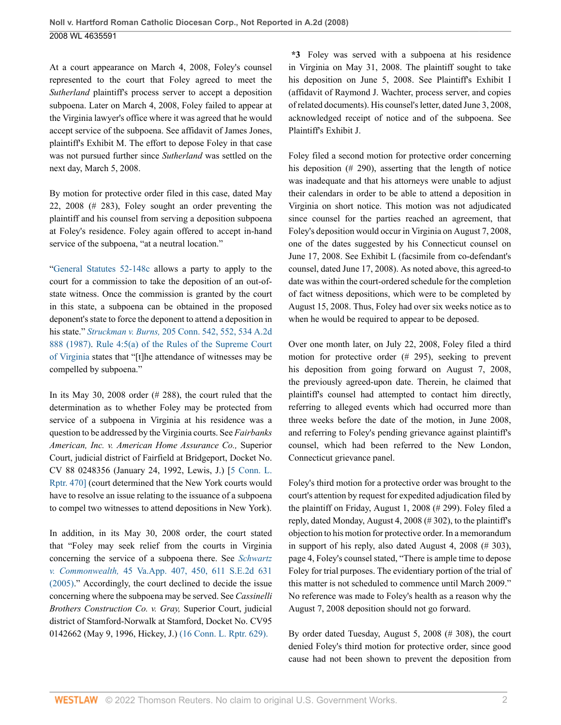At a court appearance on March 4, 2008, Foley's counsel represented to the court that Foley agreed to meet the *Sutherland* plaintiff's process server to accept a deposition subpoena. Later on March 4, 2008, Foley failed to appear at the Virginia lawyer's office where it was agreed that he would accept service of the subpoena. See affidavit of James Jones, plaintiff's Exhibit M. The effort to depose Foley in that case was not pursued further since *Sutherland* was settled on the next day, March 5, 2008.

By motion for protective order filed in this case, dated May 22, 2008 (# 283), Foley sought an order preventing the plaintiff and his counsel from serving a deposition subpoena at Foley's residence. Foley again offered to accept in-hand service of the subpoena, "at a neutral location."

"General Statutes 52-148c allows a party to apply to the court for a commission to take the deposition of an out-ofstate witness. Once the commission is granted by the court in this state, a subpoena can be obtained in the proposed deponent's state to force the deponent to attend a deposition in his state." *Struckman v. Burns,* 205 Conn. 542, 552, 534 A.2d 888 (1987). Rule 4:5(a) of the Rules of the Supreme Court of Virginia states that "[t]he attendance of witnesses may be compelled by subpoena."

In its May 30, 2008 order (# 288), the court ruled that the determination as to whether Foley may be protected from service of a subpoena in Virginia at his residence was a question to be addressed by the Virginia courts. See *Fairbanks American, Inc. v. American Home Assurance Co.,* Superior Court, judicial district of Fairfield at Bridgeport, Docket No. CV 88 0248356 (January 24, 1992, Lewis, J.) [5 Conn. L. Rptr. 470] (court determined that the New York courts would have to resolve an issue relating to the issuance of a subpoena to compel two witnesses to attend depositions in New York).

In addition, in its May 30, 2008 order, the court stated that "Foley may seek relief from the courts in Virginia concerning the service of a subpoena there. See *Schwartz v. Commonwealth,* 45 Va.App. 407, 450, 611 S.E.2d 631 (2005)." Accordingly, the court declined to decide the issue concerning where the subpoena may be served. See *Cassinelli Brothers Construction Co. v. Gray,* Superior Court, judicial district of Stamford-Norwalk at Stamford, Docket No. CV95 0142662 (May 9, 1996, Hickey, J.) (16 Conn. L. Rptr. 629).

**\*3** Foley was served with a subpoena at his residence in Virginia on May 31, 2008. The plaintiff sought to take his deposition on June 5, 2008. See Plaintiff's Exhibit I (affidavit of Raymond J. Wachter, process server, and copies of related documents). His counsel's letter, dated June 3, 2008, acknowledged receipt of notice and of the subpoena. See Plaintiff's Exhibit J.

Foley filed a second motion for protective order concerning his deposition (# 290), asserting that the length of notice was inadequate and that his attorneys were unable to adjust their calendars in order to be able to attend a deposition in Virginia on short notice. This motion was not adjudicated since counsel for the parties reached an agreement, that Foley's deposition would occur in Virginia on August 7, 2008, one of the dates suggested by his Connecticut counsel on June 17, 2008. See Exhibit L (facsimile from co-defendant's counsel, dated June 17, 2008). As noted above, this agreed-to date was within the court-ordered schedule for the completion of fact witness depositions, which were to be completed by August 15, 2008. Thus, Foley had over six weeks notice as to when he would be required to appear to be deposed.

Over one month later, on July 22, 2008, Foley filed a third motion for protective order (# 295), seeking to prevent his deposition from going forward on August 7, 2008, the previously agreed-upon date. Therein, he claimed that plaintiff's counsel had attempted to contact him directly, referring to alleged events which had occurred more than three weeks before the date of the motion, in June 2008, and referring to Foley's pending grievance against plaintiff's counsel, which had been referred to the New London, Connecticut grievance panel.

Foley's third motion for a protective order was brought to the court's attention by request for expedited adjudication filed by the plaintiff on Friday, August 1, 2008 (# 299). Foley filed a reply, dated Monday, August 4, 2008 (# 302), to the plaintiff's objection to his motion for protective order. In a memorandum in support of his reply, also dated August 4, 2008 (# 303), page 4, Foley's counsel stated, "There is ample time to depose Foley for trial purposes. The evidentiary portion of the trial of this matter is not scheduled to commence until March 2009." No reference was made to Foley's health as a reason why the August 7, 2008 deposition should not go forward.

By order dated Tuesday, August 5, 2008 (# 308), the court denied Foley's third motion for protective order, since good cause had not been shown to prevent the deposition from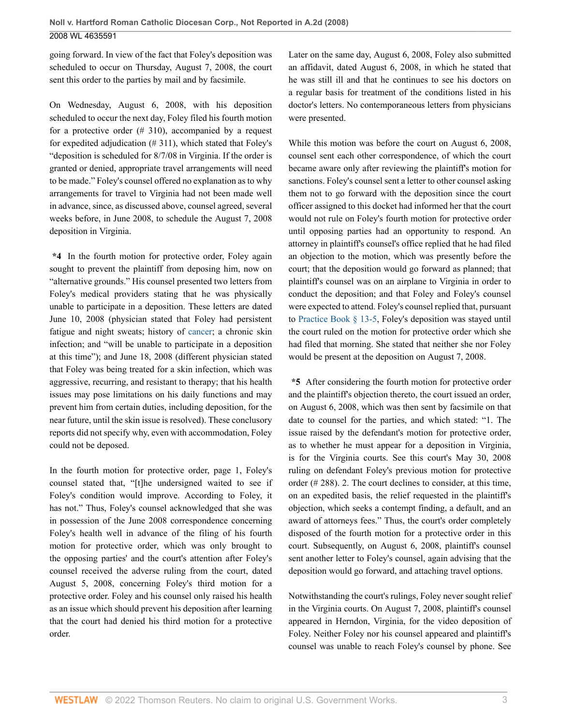going forward. In view of the fact that Foley's deposition was scheduled to occur on Thursday, August 7, 2008, the court sent this order to the parties by mail and by facsimile.

On Wednesday, August 6, 2008, with his deposition scheduled to occur the next day, Foley filed his fourth motion for a protective order  $(# 310)$ , accompanied by a request for expedited adjudication (# 311), which stated that Foley's "deposition is scheduled for 8/7/08 in Virginia. If the order is granted or denied, appropriate travel arrangements will need to be made." Foley's counsel offered no explanation as to why arrangements for travel to Virginia had not been made well in advance, since, as discussed above, counsel agreed, several weeks before, in June 2008, to schedule the August 7, 2008 deposition in Virginia.

**\*4** In the fourth motion for protective order, Foley again sought to prevent the plaintiff from deposing him, now on "alternative grounds." His counsel presented two letters from Foley's medical providers stating that he was physically unable to participate in a deposition. These letters are dated June 10, 2008 (physician stated that Foley had persistent fatigue and night sweats; history of cancer; a chronic skin infection; and "will be unable to participate in a deposition at this time"); and June 18, 2008 (different physician stated that Foley was being treated for a skin infection, which was aggressive, recurring, and resistant to therapy; that his health issues may pose limitations on his daily functions and may prevent him from certain duties, including deposition, for the near future, until the skin issue is resolved). These conclusory reports did not specify why, even with accommodation, Foley could not be deposed.

In the fourth motion for protective order, page 1, Foley's counsel stated that, "[t]he undersigned waited to see if Foley's condition would improve. According to Foley, it has not." Thus, Foley's counsel acknowledged that she was in possession of the June 2008 correspondence concerning Foley's health well in advance of the filing of his fourth motion for protective order, which was only brought to the opposing parties' and the court's attention after Foley's counsel received the adverse ruling from the court, dated August 5, 2008, concerning Foley's third motion for a protective order. Foley and his counsel only raised his health as an issue which should prevent his deposition after learning that the court had denied his third motion for a protective order.

Later on the same day, August 6, 2008, Foley also submitted an affidavit, dated August 6, 2008, in which he stated that he was still ill and that he continues to see his doctors on a regular basis for treatment of the conditions listed in his doctor's letters. No contemporaneous letters from physicians were presented.

While this motion was before the court on August 6, 2008, counsel sent each other correspondence, of which the court became aware only after reviewing the plaintiff's motion for sanctions. Foley's counsel sent a letter to other counsel asking them not to go forward with the deposition since the court officer assigned to this docket had informed her that the court would not rule on Foley's fourth motion for protective order until opposing parties had an opportunity to respond. An attorney in plaintiff's counsel's office replied that he had filed an objection to the motion, which was presently before the court; that the deposition would go forward as planned; that plaintiff's counsel was on an airplane to Virginia in order to conduct the deposition; and that Foley and Foley's counsel were expected to attend. Foley's counsel replied that, pursuant to Practice Book § 13-5, Foley's deposition was stayed until the court ruled on the motion for protective order which she had filed that morning. She stated that neither she nor Foley would be present at the deposition on August 7, 2008.

**\*5** After considering the fourth motion for protective order and the plaintiff's objection thereto, the court issued an order, on August 6, 2008, which was then sent by facsimile on that date to counsel for the parties, and which stated: "1. The issue raised by the defendant's motion for protective order, as to whether he must appear for a deposition in Virginia, is for the Virginia courts. See this court's May 30, 2008 ruling on defendant Foley's previous motion for protective order (# 288). 2. The court declines to consider, at this time, on an expedited basis, the relief requested in the plaintiff's objection, which seeks a contempt finding, a default, and an award of attorneys fees." Thus, the court's order completely disposed of the fourth motion for a protective order in this court. Subsequently, on August 6, 2008, plaintiff's counsel sent another letter to Foley's counsel, again advising that the deposition would go forward, and attaching travel options.

Notwithstanding the court's rulings, Foley never sought relief in the Virginia courts. On August 7, 2008, plaintiff's counsel appeared in Herndon, Virginia, for the video deposition of Foley. Neither Foley nor his counsel appeared and plaintiff's counsel was unable to reach Foley's counsel by phone. See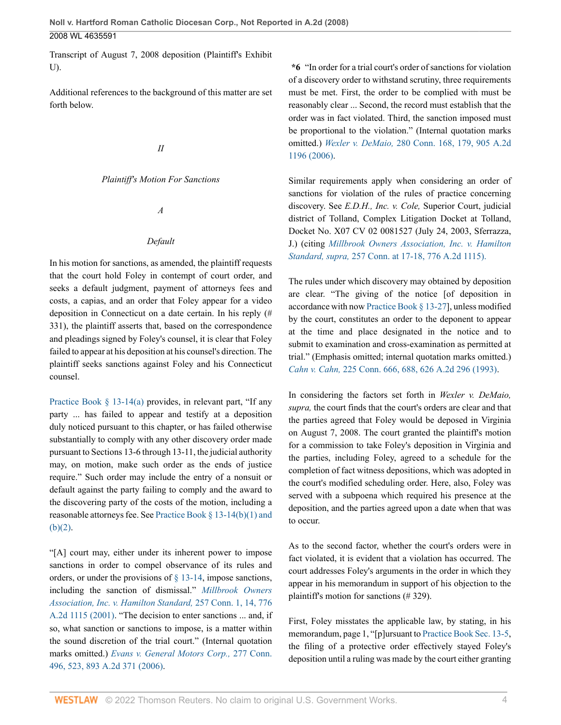Transcript of August 7, 2008 deposition (Plaintiff's Exhibit U).

Additional references to the background of this matter are set forth below.

### *II*

#### *Plaintiff's Motion For Sanctions*

*A*

#### *Default*

In his motion for sanctions, as amended, the plaintiff requests that the court hold Foley in contempt of court order, and seeks a default judgment, payment of attorneys fees and costs, a capias, and an order that Foley appear for a video deposition in Connecticut on a date certain. In his reply (# 331), the plaintiff asserts that, based on the correspondence and pleadings signed by Foley's counsel, it is clear that Foley failed to appear at his deposition at his counsel's direction. The plaintiff seeks sanctions against Foley and his Connecticut counsel.

Practice Book  $\S$  13-14(a) provides, in relevant part, "If any party ... has failed to appear and testify at a deposition duly noticed pursuant to this chapter, or has failed otherwise substantially to comply with any other discovery order made pursuant to Sections 13-6 through 13-11, the judicial authority may, on motion, make such order as the ends of justice require." Such order may include the entry of a nonsuit or default against the party failing to comply and the award to the discovering party of the costs of the motion, including a reasonable attorneys fee. See Practice Book § 13-14(b)(1) and (b)(2).

"[A] court may, either under its inherent power to impose sanctions in order to compel observance of its rules and orders, or under the provisions of  $\S$  13-14, impose sanctions, including the sanction of dismissal." *Millbrook Owners Association, Inc. v. Hamilton Standard,* 257 Conn. 1, 14, 776 A.2d 1115 (2001). "The decision to enter sanctions ... and, if so, what sanction or sanctions to impose, is a matter within the sound discretion of the trial court." (Internal quotation marks omitted.) *Evans v. General Motors Corp.,* 277 Conn. 496, 523, 893 A.2d 371 (2006).

**\*6** "In order for a trial court's order of sanctions for violation of a discovery order to withstand scrutiny, three requirements must be met. First, the order to be complied with must be reasonably clear ... Second, the record must establish that the order was in fact violated. Third, the sanction imposed must be proportional to the violation." (Internal quotation marks omitted.) *Wexler v. DeMaio,* 280 Conn. 168, 179, 905 A.2d 1196 (2006).

Similar requirements apply when considering an order of sanctions for violation of the rules of practice concerning discovery. See *E.D.H., Inc. v. Cole,* Superior Court, judicial district of Tolland, Complex Litigation Docket at Tolland, Docket No. X07 CV 02 0081527 (July 24, 2003, Sferrazza, J.) (citing *Millbrook Owners Association, Inc. v. Hamilton Standard, supra,* 257 Conn. at 17-18, 776 A.2d 1115).

The rules under which discovery may obtained by deposition are clear. "The giving of the notice [of deposition in accordance with now Practice Book § 13-27], unless modified by the court, constitutes an order to the deponent to appear at the time and place designated in the notice and to submit to examination and cross-examination as permitted at trial." (Emphasis omitted; internal quotation marks omitted.) *Cahn v. Cahn,* 225 Conn. 666, 688, 626 A.2d 296 (1993).

In considering the factors set forth in *Wexler v. DeMaio, supra,* the court finds that the court's orders are clear and that the parties agreed that Foley would be deposed in Virginia on August 7, 2008. The court granted the plaintiff's motion for a commission to take Foley's deposition in Virginia and the parties, including Foley, agreed to a schedule for the completion of fact witness depositions, which was adopted in the court's modified scheduling order. Here, also, Foley was served with a subpoena which required his presence at the deposition, and the parties agreed upon a date when that was to occur.

As to the second factor, whether the court's orders were in fact violated, it is evident that a violation has occurred. The court addresses Foley's arguments in the order in which they appear in his memorandum in support of his objection to the plaintiff's motion for sanctions (# 329).

First, Foley misstates the applicable law, by stating, in his memorandum, page 1, "[p]ursuant to Practice Book Sec. 13-5, the filing of a protective order effectively stayed Foley's deposition until a ruling was made by the court either granting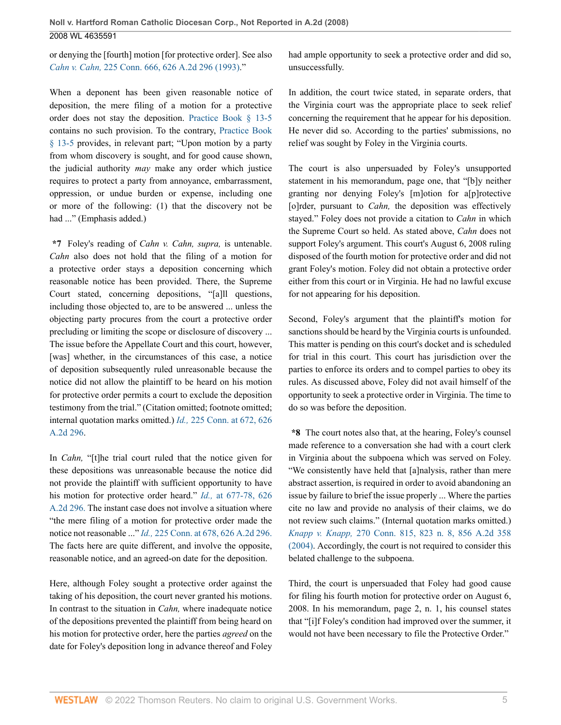or denying the [fourth] motion [for protective order]. See also *Cahn v. Cahn,* 225 Conn. 666, 626 A.2d 296 (1993)."

When a deponent has been given reasonable notice of deposition, the mere filing of a motion for a protective order does not stay the deposition. Practice Book § 13-5 contains no such provision. To the contrary, Practice Book § 13-5 provides, in relevant part; "Upon motion by a party from whom discovery is sought, and for good cause shown, the judicial authority *may* make any order which justice requires to protect a party from annoyance, embarrassment, oppression, or undue burden or expense, including one or more of the following: (1) that the discovery not be had ..." (Emphasis added.)

**\*7** Foley's reading of *Cahn v. Cahn, supra,* is untenable. *Cahn* also does not hold that the filing of a motion for a protective order stays a deposition concerning which reasonable notice has been provided. There, the Supreme Court stated, concerning depositions, "[a]ll questions, including those objected to, are to be answered ... unless the objecting party procures from the court a protective order precluding or limiting the scope or disclosure of discovery ... The issue before the Appellate Court and this court, however, [was] whether, in the circumstances of this case, a notice of deposition subsequently ruled unreasonable because the notice did not allow the plaintiff to be heard on his motion for protective order permits a court to exclude the deposition testimony from the trial." (Citation omitted; footnote omitted; internal quotation marks omitted.) *Id.,* 225 Conn. at 672, 626 A.2d 296.

In *Cahn,* "[t]he trial court ruled that the notice given for these depositions was unreasonable because the notice did not provide the plaintiff with sufficient opportunity to have his motion for protective order heard." *Id.,* at 677-78, 626 A.2d 296. The instant case does not involve a situation where "the mere filing of a motion for protective order made the notice not reasonable ..." *Id.,* 225 Conn. at 678, 626 A.2d 296. The facts here are quite different, and involve the opposite, reasonable notice, and an agreed-on date for the deposition.

Here, although Foley sought a protective order against the taking of his deposition, the court never granted his motions. In contrast to the situation in *Cahn,* where inadequate notice of the depositions prevented the plaintiff from being heard on his motion for protective order, here the parties *agreed* on the date for Foley's deposition long in advance thereof and Foley had ample opportunity to seek a protective order and did so, unsuccessfully.

In addition, the court twice stated, in separate orders, that the Virginia court was the appropriate place to seek relief concerning the requirement that he appear for his deposition. He never did so. According to the parties' submissions, no relief was sought by Foley in the Virginia courts.

The court is also unpersuaded by Foley's unsupported statement in his memorandum, page one, that "[b]y neither granting nor denying Foley's [m]otion for a[p]rotective [o]rder, pursuant to *Cahn*, the deposition was effectively stayed." Foley does not provide a citation to *Cahn* in which the Supreme Court so held. As stated above, *Cahn* does not support Foley's argument. This court's August 6, 2008 ruling disposed of the fourth motion for protective order and did not grant Foley's motion. Foley did not obtain a protective order either from this court or in Virginia. He had no lawful excuse for not appearing for his deposition.

Second, Foley's argument that the plaintiff's motion for sanctions should be heard by the Virginia courts is unfounded. This matter is pending on this court's docket and is scheduled for trial in this court. This court has jurisdiction over the parties to enforce its orders and to compel parties to obey its rules. As discussed above, Foley did not avail himself of the opportunity to seek a protective order in Virginia. The time to do so was before the deposition.

**\*8** The court notes also that, at the hearing, Foley's counsel made reference to a conversation she had with a court clerk in Virginia about the subpoena which was served on Foley. "We consistently have held that [a]nalysis, rather than mere abstract assertion, is required in order to avoid abandoning an issue by failure to brief the issue properly ... Where the parties cite no law and provide no analysis of their claims, we do not review such claims." (Internal quotation marks omitted.) *Knapp v. Knapp,* 270 Conn. 815, 823 n. 8, 856 A.2d 358 (2004). Accordingly, the court is not required to consider this belated challenge to the subpoena.

Third, the court is unpersuaded that Foley had good cause for filing his fourth motion for protective order on August 6, 2008. In his memorandum, page 2, n. 1, his counsel states that "[i]f Foley's condition had improved over the summer, it would not have been necessary to file the Protective Order."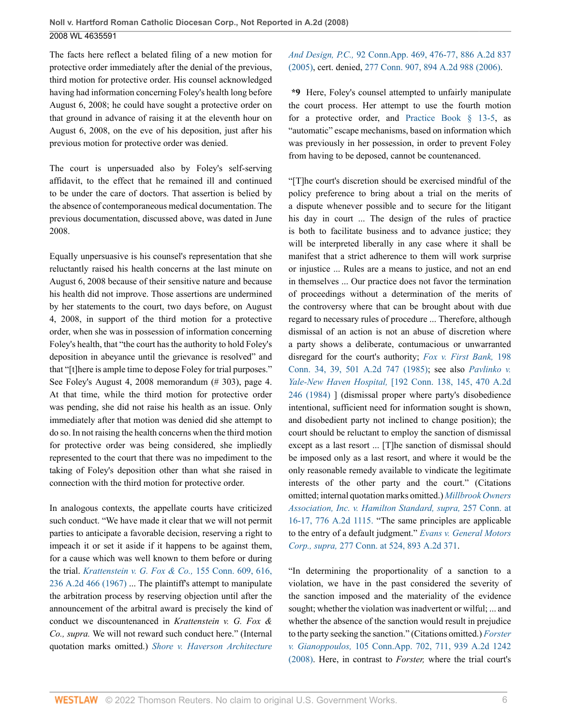The facts here reflect a belated filing of a new motion for protective order immediately after the denial of the previous, third motion for protective order. His counsel acknowledged having had information concerning Foley's health long before August 6, 2008; he could have sought a protective order on that ground in advance of raising it at the eleventh hour on August 6, 2008, on the eve of his deposition, just after his previous motion for protective order was denied.

The court is unpersuaded also by Foley's self-serving affidavit, to the effect that he remained ill and continued to be under the care of doctors. That assertion is belied by the absence of contemporaneous medical documentation. The previous documentation, discussed above, was dated in June 2008.

Equally unpersuasive is his counsel's representation that she reluctantly raised his health concerns at the last minute on August 6, 2008 because of their sensitive nature and because his health did not improve. Those assertions are undermined by her statements to the court, two days before, on August 4, 2008, in support of the third motion for a protective order, when she was in possession of information concerning Foley's health, that "the court has the authority to hold Foley's deposition in abeyance until the grievance is resolved" and that "[t]here is ample time to depose Foley for trial purposes." See Foley's August 4, 2008 memorandum (# 303), page 4. At that time, while the third motion for protective order was pending, she did not raise his health as an issue. Only immediately after that motion was denied did she attempt to do so. In not raising the health concerns when the third motion for protective order was being considered, she impliedly represented to the court that there was no impediment to the taking of Foley's deposition other than what she raised in connection with the third motion for protective order.

In analogous contexts, the appellate courts have criticized such conduct. "We have made it clear that we will not permit parties to anticipate a favorable decision, reserving a right to impeach it or set it aside if it happens to be against them, for a cause which was well known to them before or during the trial. *Krattenstein v. G. Fox & Co.,* 155 Conn. 609, 616, 236 A.2d 466 (1967) ... The plaintiff's attempt to manipulate the arbitration process by reserving objection until after the announcement of the arbitral award is precisely the kind of conduct we discountenanced in *Krattenstein v. G. Fox & Co., supra.* We will not reward such conduct here." (Internal quotation marks omitted.) *Shore v. Haverson Architecture*

## *And Design, P.C.,* 92 Conn.App. 469, 476-77, 886 A.2d 837 (2005), cert. denied, 277 Conn. 907, 894 A.2d 988 (2006).

**\*9** Here, Foley's counsel attempted to unfairly manipulate the court process. Her attempt to use the fourth motion for a protective order, and Practice Book § 13-5, as "automatic" escape mechanisms, based on information which was previously in her possession, in order to prevent Foley from having to be deposed, cannot be countenanced.

"[T]he court's discretion should be exercised mindful of the policy preference to bring about a trial on the merits of a dispute whenever possible and to secure for the litigant his day in court ... The design of the rules of practice is both to facilitate business and to advance justice; they will be interpreted liberally in any case where it shall be manifest that a strict adherence to them will work surprise or injustice ... Rules are a means to justice, and not an end in themselves ... Our practice does not favor the termination of proceedings without a determination of the merits of the controversy where that can be brought about with due regard to necessary rules of procedure ... Therefore, although dismissal of an action is not an abuse of discretion where a party shows a deliberate, contumacious or unwarranted disregard for the court's authority; *Fox v. First Bank,* 198 Conn. 34, 39, 501 A.2d 747 (1985); see also *Pavlinko v. Yale-New Haven Hospital,* [192 Conn. 138, 145, 470 A.2d 246 (1984) ] (dismissal proper where party's disobedience intentional, sufficient need for information sought is shown, and disobedient party not inclined to change position); the court should be reluctant to employ the sanction of dismissal except as a last resort ... [T]he sanction of dismissal should be imposed only as a last resort, and where it would be the only reasonable remedy available to vindicate the legitimate interests of the other party and the court." (Citations omitted; internal quotation marks omitted.) *Millbrook Owners Association, Inc. v. Hamilton Standard, supra,* 257 Conn. at 16-17, 776 A.2d 1115. "The same principles are applicable to the entry of a default judgment." *Evans v. General Motors Corp., supra,* 277 Conn. at 524, 893 A.2d 371.

"In determining the proportionality of a sanction to a violation, we have in the past considered the severity of the sanction imposed and the materiality of the evidence sought; whether the violation was inadvertent or wilful; ... and whether the absence of the sanction would result in prejudice to the party seeking the sanction." (Citations omitted.) *Forster v. Gianoppoulos,* 105 Conn.App. 702, 711, 939 A.2d 1242 (2008). Here, in contrast to *Forster,* where the trial court's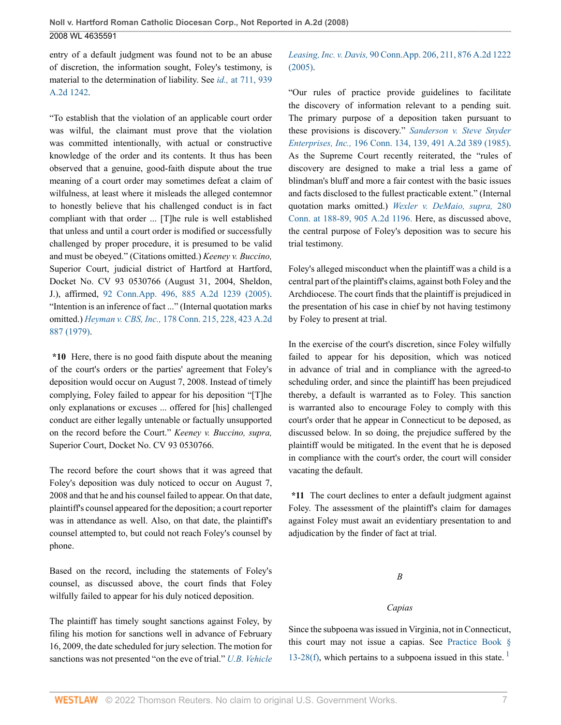entry of a default judgment was found not to be an abuse of discretion, the information sought, Foley's testimony, is material to the determination of liability. See *id.,* at 711, 939 A.2d 1242.

"To establish that the violation of an applicable court order was wilful, the claimant must prove that the violation was committed intentionally, with actual or constructive knowledge of the order and its contents. It thus has been observed that a genuine, good-faith dispute about the true meaning of a court order may sometimes defeat a claim of wilfulness, at least where it misleads the alleged contemnor to honestly believe that his challenged conduct is in fact compliant with that order ... [T]he rule is well established that unless and until a court order is modified or successfully challenged by proper procedure, it is presumed to be valid and must be obeyed." (Citations omitted.) *Keeney v. Buccino,* Superior Court, judicial district of Hartford at Hartford, Docket No. CV 93 0530766 (August 31, 2004, Sheldon, J.), affirmed, 92 Conn.App. 496, 885 A.2d 1239 (2005). "Intention is an inference of fact ..." (Internal quotation marks omitted.) *Heyman v. CBS, Inc.,* 178 Conn. 215, 228, 423 A.2d 887 (1979).

**\*10** Here, there is no good faith dispute about the meaning of the court's orders or the parties' agreement that Foley's deposition would occur on August 7, 2008. Instead of timely complying, Foley failed to appear for his deposition "[T]he only explanations or excuses ... offered for [his] challenged conduct are either legally untenable or factually unsupported on the record before the Court." *Keeney v. Buccino, supra,* Superior Court, Docket No. CV 93 0530766.

The record before the court shows that it was agreed that Foley's deposition was duly noticed to occur on August 7, 2008 and that he and his counsel failed to appear. On that date, plaintiff's counsel appeared for the deposition; a court reporter was in attendance as well. Also, on that date, the plaintiff's counsel attempted to, but could not reach Foley's counsel by phone.

Based on the record, including the statements of Foley's counsel, as discussed above, the court finds that Foley wilfully failed to appear for his duly noticed deposition.

The plaintiff has timely sought sanctions against Foley, by filing his motion for sanctions well in advance of February 16, 2009, the date scheduled for jury selection. The motion for sanctions was not presented "on the eve of trial." *U.B. Vehicle*

### *Leasing, Inc. v. Davis,* 90 Conn.App. 206, 211, 876 A.2d 1222 (2005).

"Our rules of practice provide guidelines to facilitate the discovery of information relevant to a pending suit. The primary purpose of a deposition taken pursuant to these provisions is discovery." *Sanderson v. Steve Snyder Enterprises, Inc.,* 196 Conn. 134, 139, 491 A.2d 389 (1985). As the Supreme Court recently reiterated, the "rules of discovery are designed to make a trial less a game of blindman's bluff and more a fair contest with the basic issues and facts disclosed to the fullest practicable extent." (Internal quotation marks omitted.) *Wexler v. DeMaio, supra,* 280 Conn. at 188-89, 905 A.2d 1196. Here, as discussed above, the central purpose of Foley's deposition was to secure his trial testimony.

Foley's alleged misconduct when the plaintiff was a child is a central part of the plaintiff's claims, against both Foley and the Archdiocese. The court finds that the plaintiff is prejudiced in the presentation of his case in chief by not having testimony by Foley to present at trial.

In the exercise of the court's discretion, since Foley wilfully failed to appear for his deposition, which was noticed in advance of trial and in compliance with the agreed-to scheduling order, and since the plaintiff has been prejudiced thereby, a default is warranted as to Foley. This sanction is warranted also to encourage Foley to comply with this court's order that he appear in Connecticut to be deposed, as discussed below. In so doing, the prejudice suffered by the plaintiff would be mitigated. In the event that he is deposed in compliance with the court's order, the court will consider vacating the default.

**\*11** The court declines to enter a default judgment against Foley. The assessment of the plaintiff's claim for damages against Foley must await an evidentiary presentation to and adjudication by the finder of fact at trial.

*B*

### *Capias*

Since the subpoena was issued in Virginia, not in Connecticut, this court may not issue a capias. See Practice Book § 13-28(f), which pertains to a subpoena issued in this state.<sup>1</sup>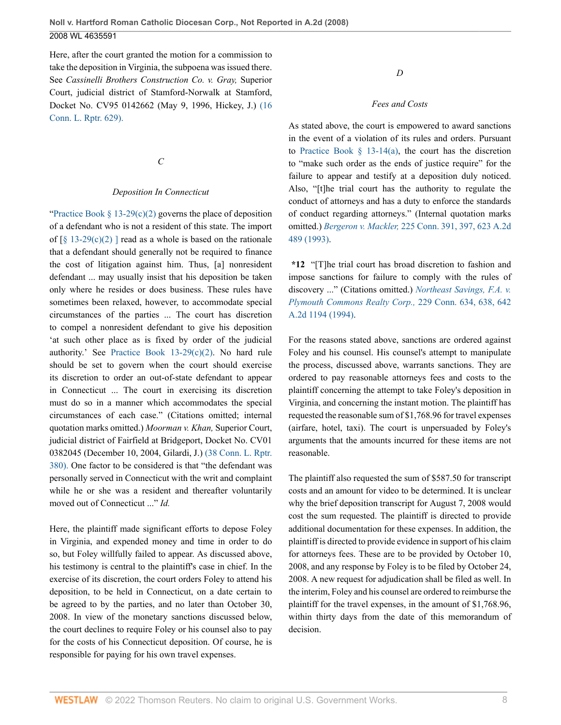Here, after the court granted the motion for a commission to take the deposition in Virginia, the subpoena was issued there. See *Cassinelli Brothers Construction Co. v. Gray,* Superior Court, judicial district of Stamford-Norwalk at Stamford, Docket No. CV95 0142662 (May 9, 1996, Hickey, J.) (16 Conn. L. Rptr. 629).

*C*

#### *Deposition In Connecticut*

"Practice Book § 13-29(c)(2) governs the place of deposition of a defendant who is not a resident of this state. The import of  $\lceil \S 13-29(c)(2) \rceil$  read as a whole is based on the rationale that a defendant should generally not be required to finance the cost of litigation against him. Thus, [a] nonresident defendant ... may usually insist that his deposition be taken only where he resides or does business. These rules have sometimes been relaxed, however, to accommodate special circumstances of the parties ... The court has discretion to compel a nonresident defendant to give his deposition 'at such other place as is fixed by order of the judicial authority.' See Practice Book 13-29(c)(2). No hard rule should be set to govern when the court should exercise its discretion to order an out-of-state defendant to appear in Connecticut ... The court in exercising its discretion must do so in a manner which accommodates the special circumstances of each case." (Citations omitted; internal quotation marks omitted.) *Moorman v. Khan,* Superior Court, judicial district of Fairfield at Bridgeport, Docket No. CV01 0382045 (December 10, 2004, Gilardi, J.) (38 Conn. L. Rptr. 380). One factor to be considered is that "the defendant was personally served in Connecticut with the writ and complaint while he or she was a resident and thereafter voluntarily moved out of Connecticut ..." *Id.*

Here, the plaintiff made significant efforts to depose Foley in Virginia, and expended money and time in order to do so, but Foley willfully failed to appear. As discussed above, his testimony is central to the plaintiff's case in chief. In the exercise of its discretion, the court orders Foley to attend his deposition, to be held in Connecticut, on a date certain to be agreed to by the parties, and no later than October 30, 2008. In view of the monetary sanctions discussed below, the court declines to require Foley or his counsel also to pay for the costs of his Connecticut deposition. Of course, he is responsible for paying for his own travel expenses.

*D*

#### *Fees and Costs*

As stated above, the court is empowered to award sanctions in the event of a violation of its rules and orders. Pursuant to Practice Book  $\S$  13-14(a), the court has the discretion to "make such order as the ends of justice require" for the failure to appear and testify at a deposition duly noticed. Also, "[t]he trial court has the authority to regulate the conduct of attorneys and has a duty to enforce the standards of conduct regarding attorneys." (Internal quotation marks omitted.) *Bergeron v. Mackler,* 225 Conn. 391, 397, 623 A.2d 489 (1993).

**\*12** "[T]he trial court has broad discretion to fashion and impose sanctions for failure to comply with the rules of discovery ..." (Citations omitted.) *Northeast Savings, F.A. v. Plymouth Commons Realty Corp.,* 229 Conn. 634, 638, 642 A.2d 1194 (1994).

For the reasons stated above, sanctions are ordered against Foley and his counsel. His counsel's attempt to manipulate the process, discussed above, warrants sanctions. They are ordered to pay reasonable attorneys fees and costs to the plaintiff concerning the attempt to take Foley's deposition in Virginia, and concerning the instant motion. The plaintiff has requested the reasonable sum of \$1,768.96 for travel expenses (airfare, hotel, taxi). The court is unpersuaded by Foley's arguments that the amounts incurred for these items are not reasonable.

The plaintiff also requested the sum of \$587.50 for transcript costs and an amount for video to be determined. It is unclear why the brief deposition transcript for August 7, 2008 would cost the sum requested. The plaintiff is directed to provide additional documentation for these expenses. In addition, the plaintiff is directed to provide evidence in support of his claim for attorneys fees. These are to be provided by October 10, 2008, and any response by Foley is to be filed by October 24, 2008. A new request for adjudication shall be filed as well. In the interim, Foley and his counsel are ordered to reimburse the plaintiff for the travel expenses, in the amount of \$1,768.96, within thirty days from the date of this memorandum of decision.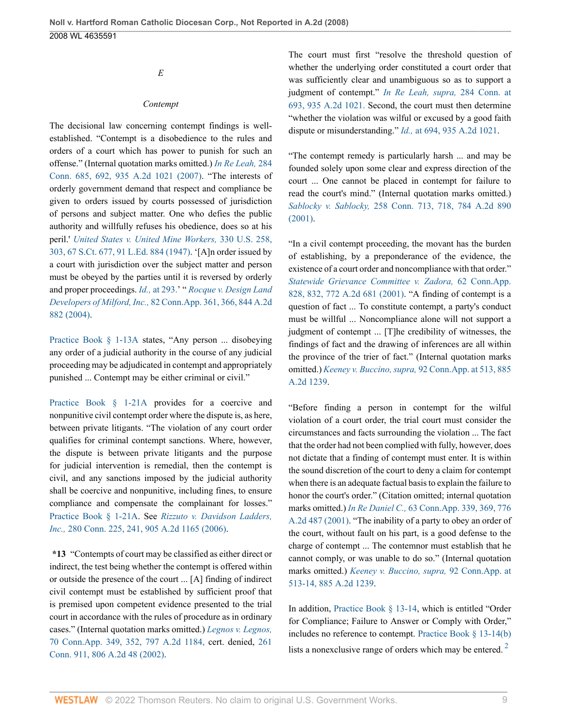*E*

#### *Contempt*

The decisional law concerning contempt findings is wellestablished. "Contempt is a disobedience to the rules and orders of a court which has power to punish for such an offense." (Internal quotation marks omitted.) *In Re Leah,* 284 Conn. 685, 692, 935 A.2d 1021 (2007). "The interests of orderly government demand that respect and compliance be given to orders issued by courts possessed of jurisdiction of persons and subject matter. One who defies the public authority and willfully refuses his obedience, does so at his peril.' *United States v. United Mine Workers,* 330 U.S. 258, 303, 67 S.Ct. 677, 91 L.Ed. 884 (1947). '[A]n order issued by a court with jurisdiction over the subject matter and person must be obeyed by the parties until it is reversed by orderly and proper proceedings. *Id.,* at 293.' " *Rocque v. Design Land Developers of Milford, Inc.,* 82 Conn.App. 361, 366, 844 A.2d 882 (2004).

Practice Book § 1-13A states, "Any person ... disobeying any order of a judicial authority in the course of any judicial proceeding may be adjudicated in contempt and appropriately punished ... Contempt may be either criminal or civil."

Practice Book § 1-21A provides for a coercive and nonpunitive civil contempt order where the dispute is, as here, between private litigants. "The violation of any court order qualifies for criminal contempt sanctions. Where, however, the dispute is between private litigants and the purpose for judicial intervention is remedial, then the contempt is civil, and any sanctions imposed by the judicial authority shall be coercive and nonpunitive, including fines, to ensure compliance and compensate the complainant for losses." Practice Book § 1-21A. See *Rizzuto v. Davidson Ladders, Inc.,* 280 Conn. 225, 241, 905 A.2d 1165 (2006).

**\*13** "Contempts of court may be classified as either direct or indirect, the test being whether the contempt is offered within or outside the presence of the court ... [A] finding of indirect civil contempt must be established by sufficient proof that is premised upon competent evidence presented to the trial court in accordance with the rules of procedure as in ordinary cases." (Internal quotation marks omitted.) *Legnos v. Legnos,* 70 Conn.App. 349, 352, 797 A.2d 1184, cert. denied, 261 Conn. 911, 806 A.2d 48 (2002).

The court must first "resolve the threshold question of whether the underlying order constituted a court order that was sufficiently clear and unambiguous so as to support a judgment of contempt." *In Re Leah, supra,* 284 Conn. at 693, 935 A.2d 1021. Second, the court must then determine "whether the violation was wilful or excused by a good faith dispute or misunderstanding." *Id.,* at 694, 935 A.2d 1021.

"The contempt remedy is particularly harsh ... and may be founded solely upon some clear and express direction of the court ... One cannot be placed in contempt for failure to read the court's mind." (Internal quotation marks omitted.) *Sablocky v. Sablocky,* 258 Conn. 713, 718, 784 A.2d 890 (2001).

"In a civil contempt proceeding, the movant has the burden of establishing, by a preponderance of the evidence, the existence of a court order and noncompliance with that order." *Statewide Grievance Committee v. Zadora,* 62 Conn.App. 828, 832, 772 A.2d 681 (2001). "A finding of contempt is a question of fact ... To constitute contempt, a party's conduct must be willful ... Noncompliance alone will not support a judgment of contempt ... [T]he credibility of witnesses, the findings of fact and the drawing of inferences are all within the province of the trier of fact." (Internal quotation marks omitted.) *Keeney v. Buccino, supra,* 92 Conn.App. at 513, 885 A.2d 1239.

"Before finding a person in contempt for the wilful violation of a court order, the trial court must consider the circumstances and facts surrounding the violation ... The fact that the order had not been complied with fully, however, does not dictate that a finding of contempt must enter. It is within the sound discretion of the court to deny a claim for contempt when there is an adequate factual basis to explain the failure to honor the court's order." (Citation omitted; internal quotation marks omitted.) *In Re Daniel C.,* 63 Conn.App. 339, 369, 776 A.2d 487 (2001). "The inability of a party to obey an order of the court, without fault on his part, is a good defense to the charge of contempt ... The contemnor must establish that he cannot comply, or was unable to do so." (Internal quotation marks omitted.) *Keeney v. Buccino, supra,* 92 Conn.App. at 513-14, 885 A.2d 1239.

In addition, Practice Book § 13-14, which is entitled "Order for Compliance; Failure to Answer or Comply with Order," includes no reference to contempt. Practice Book § 13-14(b) lists a nonexclusive range of orders which may be entered.<sup>2</sup>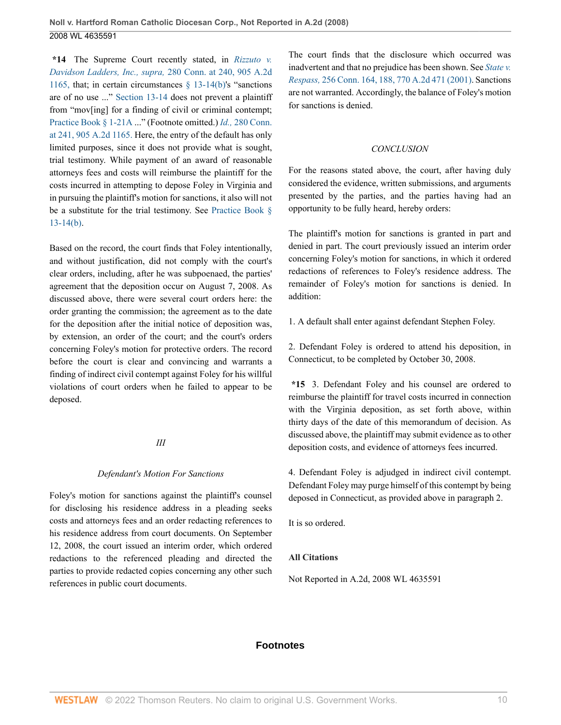**\*14** The Supreme Court recently stated, in *Rizzuto v. Davidson Ladders, Inc., supra,* 280 Conn. at 240, 905 A.2d 1165, that; in certain circumstances  $\S$  13-14(b)'s "sanctions are of no use ..." Section 13-14 does not prevent a plaintiff from "mov[ing] for a finding of civil or criminal contempt; Practice Book § 1-21A ..." (Footnote omitted.) *Id.,* 280 Conn. at 241, 905 A.2d 1165. Here, the entry of the default has only limited purposes, since it does not provide what is sought, trial testimony. While payment of an award of reasonable attorneys fees and costs will reimburse the plaintiff for the costs incurred in attempting to depose Foley in Virginia and in pursuing the plaintiff's motion for sanctions, it also will not be a substitute for the trial testimony. See Practice Book § 13-14(b).

Based on the record, the court finds that Foley intentionally, and without justification, did not comply with the court's clear orders, including, after he was subpoenaed, the parties' agreement that the deposition occur on August 7, 2008. As discussed above, there were several court orders here: the order granting the commission; the agreement as to the date for the deposition after the initial notice of deposition was, by extension, an order of the court; and the court's orders concerning Foley's motion for protective orders. The record before the court is clear and convincing and warrants a finding of indirect civil contempt against Foley for his willful violations of court orders when he failed to appear to be deposed.

#### *III*

### *Defendant's Motion For Sanctions*

Foley's motion for sanctions against the plaintiff's counsel for disclosing his residence address in a pleading seeks costs and attorneys fees and an order redacting references to his residence address from court documents. On September 12, 2008, the court issued an interim order, which ordered redactions to the referenced pleading and directed the parties to provide redacted copies concerning any other such references in public court documents.

The court finds that the disclosure which occurred was inadvertent and that no prejudice has been shown. See *State v. Respass,* 256 Conn. 164, 188, 770 A.2d 471 (2001). Sanctions are not warranted. Accordingly, the balance of Foley's motion for sanctions is denied.

### *CONCLUSION*

For the reasons stated above, the court, after having duly considered the evidence, written submissions, and arguments presented by the parties, and the parties having had an opportunity to be fully heard, hereby orders:

The plaintiff's motion for sanctions is granted in part and denied in part. The court previously issued an interim order concerning Foley's motion for sanctions, in which it ordered redactions of references to Foley's residence address. The remainder of Foley's motion for sanctions is denied. In addition:

1. A default shall enter against defendant Stephen Foley.

2. Defendant Foley is ordered to attend his deposition, in Connecticut, to be completed by October 30, 2008.

**\*15** 3. Defendant Foley and his counsel are ordered to reimburse the plaintiff for travel costs incurred in connection with the Virginia deposition, as set forth above, within thirty days of the date of this memorandum of decision. As discussed above, the plaintiff may submit evidence as to other deposition costs, and evidence of attorneys fees incurred.

4. Defendant Foley is adjudged in indirect civil contempt. Defendant Foley may purge himself of this contempt by being deposed in Connecticut, as provided above in paragraph 2.

It is so ordered.

### **All Citations**

Not Reported in A.2d, 2008 WL 4635591

### **Footnotes**